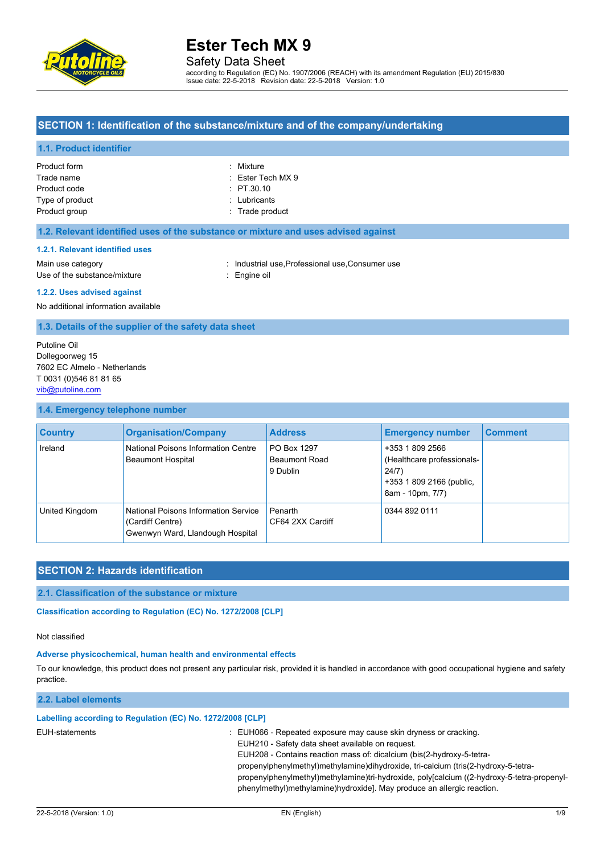

Safety Data Sheet

according to Regulation (EC) No. 1907/2006 (REACH) with its amendment Regulation (EU) 2015/830 Issue date: 22-5-2018 Revision date: 22-5-2018 Version: 1.0

### **SECTION 1: Identification of the substance/mixture and of the company/undertaking**

#### **1.1. Product identifier**

| Product form    | : Mixture                    |
|-----------------|------------------------------|
| Trade name      | $\therefore$ Ester Tech MX 9 |
| Product code    | $:$ PT.30.10                 |
| Type of product | : Lubricants                 |
| Product group   | : Trade product              |

#### **1.2. Relevant identified uses of the substance or mixture and uses advised against**

#### **1.2.1. Relevant identified uses**

Main use category **industrial use, Professional use, Consumer use** Use of the substance/mixture : Engine oil

#### **1.2.2. Uses advised against**

No additional information available

**1.3. Details of the supplier of the safety data sheet**

Putoline Oil Dollegoorweg 15 7602 EC Almelo - Netherlands T 0031 (0)546 81 81 65 [vib@putoline.com](mailto:vib@putoline.com)

#### **1.4. Emergency telephone number**

| <b>Country</b> | <b>Organisation/Company</b>                                                                  | <b>Address</b>                           | <b>Emergency number</b>                                                                                | <b>Comment</b> |
|----------------|----------------------------------------------------------------------------------------------|------------------------------------------|--------------------------------------------------------------------------------------------------------|----------------|
| Ireland        | National Poisons Information Centre<br><b>Beaumont Hospital</b>                              | PO Box 1297<br>Beaumont Road<br>9 Dublin | +353 1 809 2566<br>(Healthcare professionals-<br>24/7)<br>+353 1 809 2166 (public,<br>8am - 10pm, 7/7) |                |
| United Kingdom | National Poisons Information Service<br>(Cardiff Centre)<br>Gwenwyn Ward, Llandough Hospital | Penarth<br>CF64 2XX Cardiff              | 0344 892 0111                                                                                          |                |

# **SECTION 2: Hazards identification**

### **2.1. Classification of the substance or mixture**

Classification according to Regulation (EC) No. 1272/2008 [CLP]

#### Not classified

#### **Adverse physicochemical, human health and environmental effects**

To our knowledge, this product does not present any particular risk, provided it is handled in accordance with good occupational hygiene and safety practice.

#### **2.2. Label elements**

#### **Labelling according to Regulation (EC) No. 1272/2008 [CLP]**

- EUH-statements : EUH066 Repeated exposure may cause skin dryness or cracking.
	- EUH210 Safety data sheet available on request.

EUH208 - Contains reaction mass of: dicalcium (bis(2-hydroxy-5-tetra-

propenylphenylmethyl)methylamine)dihydroxide, tri-calcium (tris(2-hydroxy-5-tetra-

propenylphenylmethyl)methylamine)tri-hydroxide, poly[calcium ((2-hydroxy-5-tetra-propenylphenylmethyl)methylamine)hydroxide]. May produce an allergic reaction.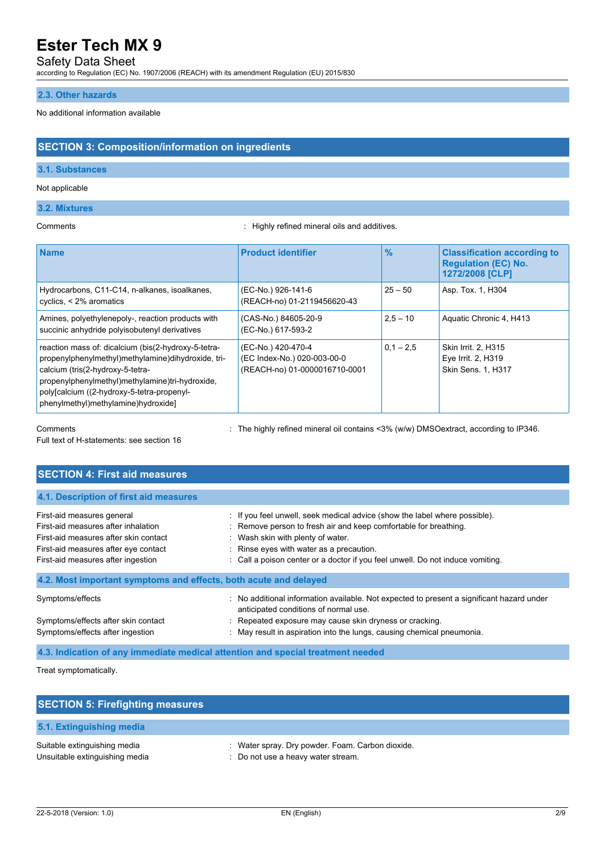# Safety Data Sheet

according to Regulation (EC) No. 1907/2006 (REACH) with its amendment Regulation (EU) 2015/830

### **2.3. Other hazards**

#### No additional information available

### **SECTION 3: Composition/information on ingredients**

#### **3.1. Substances**

#### Not applicable

#### **3.2. Mixtures**

Comments : Highly refined mineral oils and additives.

| <b>Name</b>                                                                                                                                                                                                                                                                           | <b>Product identifier</b>                                                          | $\frac{9}{6}$ | <b>Classification according to</b><br><b>Regulation (EC) No.</b><br>1272/2008 [CLP] |
|---------------------------------------------------------------------------------------------------------------------------------------------------------------------------------------------------------------------------------------------------------------------------------------|------------------------------------------------------------------------------------|---------------|-------------------------------------------------------------------------------------|
| Hydrocarbons, C11-C14, n-alkanes, isoalkanes,<br>cyclics, < 2% aromatics                                                                                                                                                                                                              | (EC-No.) 926-141-6<br>(REACH-no) 01-2119456620-43                                  | $25 - 50$     | Asp. Tox. 1, H304                                                                   |
| Amines, polyethylenepoly-, reaction products with<br>succinic anhydride polyisobutenyl derivatives                                                                                                                                                                                    | (CAS-No.) 84605-20-9<br>(EC-No.) 617-593-2                                         | $2.5 - 10$    | Aquatic Chronic 4, H413                                                             |
| reaction mass of: dicalcium (bis(2-hydroxy-5-tetra-<br>propenylphenylmethyl)methylamine)dihydroxide, tri-<br>calcium (tris(2-hydroxy-5-tetra-<br>propenylphenylmethyl)methylamine)tri-hydroxide,<br>poly[calcium ((2-hydroxy-5-tetra-propenyl-<br>phenylmethyl)methylamine)hydroxide] | (EC-No.) 420-470-4<br>(EC Index-No.) 020-003-00-0<br>(REACH-no) 01-0000016710-0001 | $0.1 - 2.5$   | Skin Irrit. 2, H315<br>Eye Irrit. 2, H319<br>Skin Sens. 1, H317                     |

Comments : The highly refined mineral oil contains <3% (w/w) DMSOextract, according to IP346.

Full text of H-statements: see section 16

| <b>SECTION 4: First aid measures</b>                                                                                                                                                     |                                                                                                                                                                                                                                                                                                                   |
|------------------------------------------------------------------------------------------------------------------------------------------------------------------------------------------|-------------------------------------------------------------------------------------------------------------------------------------------------------------------------------------------------------------------------------------------------------------------------------------------------------------------|
|                                                                                                                                                                                          |                                                                                                                                                                                                                                                                                                                   |
| 4.1. Description of first aid measures                                                                                                                                                   |                                                                                                                                                                                                                                                                                                                   |
| First-aid measures general<br>First-aid measures after inhalation<br>First-aid measures after skin contact<br>First-aid measures after eye contact<br>First-aid measures after ingestion | : If you feel unwell, seek medical advice (show the label where possible).<br>: Remove person to fresh air and keep comfortable for breathing.<br>: Wash skin with plenty of water.<br>: Rinse eyes with water as a precaution.<br>: Call a poison center or a doctor if you feel unwell. Do not induce vomiting. |
| 4.2. Most important symptoms and effects, both acute and delayed                                                                                                                         |                                                                                                                                                                                                                                                                                                                   |
| Symptoms/effects<br>Symptoms/effects after skin contact<br>Symptoms/effects after ingestion                                                                                              | No additional information available. Not expected to present a significant hazard under<br>anticipated conditions of normal use.<br>: Repeated exposure may cause skin dryness or cracking.<br>: May result in aspiration into the lungs, causing chemical pneumonia.                                             |
|                                                                                                                                                                                          |                                                                                                                                                                                                                                                                                                                   |

### **4.3. Indication of any immediate medical attention and special treatment needed**

Treat symptomatically.

| <b>SECTION 5: Firefighting measures</b>                        |                                                                                        |
|----------------------------------------------------------------|----------------------------------------------------------------------------------------|
| 5.1. Extinguishing media                                       |                                                                                        |
| Suitable extinguishing media<br>Unsuitable extinguishing media | : Water spray. Dry powder. Foam. Carbon dioxide.<br>: Do not use a heavy water stream. |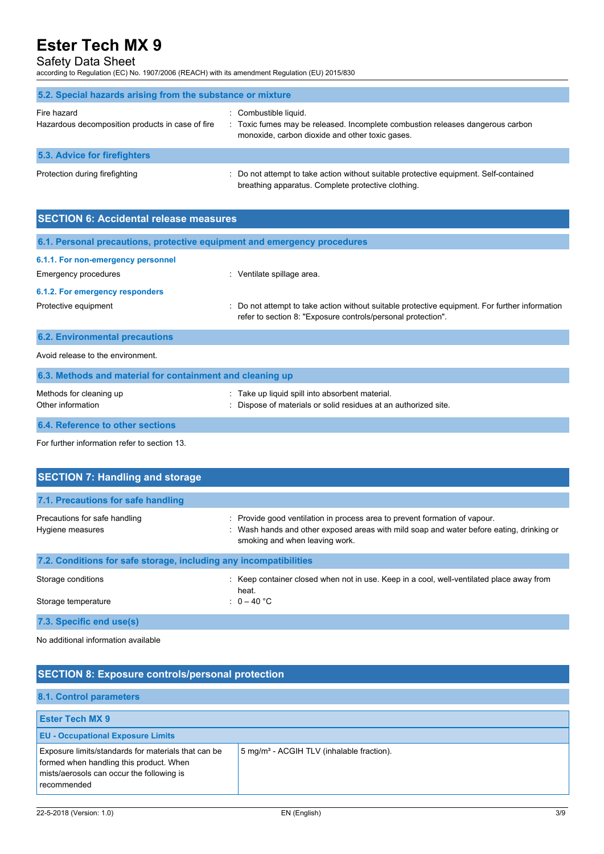### Safety Data Sheet

according to Regulation (EC) No. 1907/2006 (REACH) with its amendment Regulation (EU) 2015/830

| 5.2. Special hazards arising from the substance or mixture      |                                                                                                                                                            |  |  |
|-----------------------------------------------------------------|------------------------------------------------------------------------------------------------------------------------------------------------------------|--|--|
| Fire hazard<br>Hazardous decomposition products in case of fire | : Combustible liquid.<br>: Toxic fumes may be released. Incomplete combustion releases dangerous carbon<br>monoxide, carbon dioxide and other toxic gases. |  |  |
| 5.3. Advice for firefighters                                    |                                                                                                                                                            |  |  |
| Protection during firefighting                                  | : Do not attempt to take action without suitable protective equipment. Self-contained<br>breathing apparatus. Complete protective clothing.                |  |  |

| <b>SECTION 6: Accidental release measures</b>                            |                                                                                                                                                                |  |
|--------------------------------------------------------------------------|----------------------------------------------------------------------------------------------------------------------------------------------------------------|--|
| 6.1. Personal precautions, protective equipment and emergency procedures |                                                                                                                                                                |  |
| 6.1.1. For non-emergency personnel                                       |                                                                                                                                                                |  |
| Emergency procedures                                                     | : Ventilate spillage area.                                                                                                                                     |  |
| 6.1.2. For emergency responders                                          |                                                                                                                                                                |  |
| Protective equipment                                                     | : Do not attempt to take action without suitable protective equipment. For further information<br>refer to section 8: "Exposure controls/personal protection". |  |
| <b>6.2. Environmental precautions</b>                                    |                                                                                                                                                                |  |
| Avoid release to the environment.                                        |                                                                                                                                                                |  |
| 6.3. Methods and material for containment and cleaning up                |                                                                                                                                                                |  |
| Methods for cleaning up<br>Other information                             | Take up liquid spill into absorbent material.<br>: Dispose of materials or solid residues at an authorized site.                                               |  |
| 6.4. Reference to other sections                                         |                                                                                                                                                                |  |

For further information refer to section 13.

| <b>SECTION 7: Handling and storage</b>                                                   |  |  |  |  |
|------------------------------------------------------------------------------------------|--|--|--|--|
|                                                                                          |  |  |  |  |
| : Wash hands and other exposed areas with mild soap and water before eating, drinking or |  |  |  |  |
|                                                                                          |  |  |  |  |
|                                                                                          |  |  |  |  |
|                                                                                          |  |  |  |  |
|                                                                                          |  |  |  |  |
| : Keep container closed when not in use. Keep in a cool, well-ventilated place away from |  |  |  |  |

No additional information available

| <b>SECTION 8: Exposure controls/personal protection</b>                                                                                                    |                                                       |  |
|------------------------------------------------------------------------------------------------------------------------------------------------------------|-------------------------------------------------------|--|
| 8.1. Control parameters                                                                                                                                    |                                                       |  |
| <b>Ester Tech MX 9</b><br><b>EU - Occupational Exposure Limits</b>                                                                                         |                                                       |  |
| Exposure limits/standards for materials that can be<br>formed when handling this product. When<br>mists/aerosols can occur the following is<br>recommended | 5 mg/m <sup>3</sup> - ACGIH TLV (inhalable fraction). |  |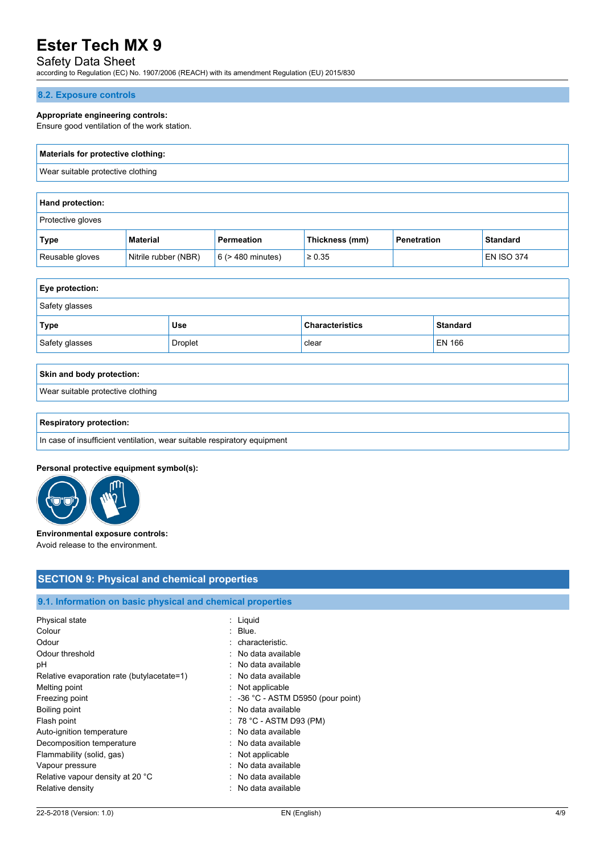# Safety Data Sheet

according to Regulation (EC) No. 1907/2006 (REACH) with its amendment Regulation (EU) 2015/830

#### **8.2. Exposure controls**

#### **Appropriate engineering controls:**

Ensure good ventilation of the work station.

# **Materials for protective clothing:** Wear suitable protective clothing

| <b>Hand protection:</b>  |                      |                        |                |                    |                   |
|--------------------------|----------------------|------------------------|----------------|--------------------|-------------------|
| <b>Protective gloves</b> |                      |                        |                |                    |                   |
| Type                     | <b>Material</b>      | Permeation             | Thickness (mm) | <b>Penetration</b> | <b>Standard</b>   |
| Reusable gloves          | Nitrile rubber (NBR) | $6$ ( $>$ 480 minutes) | $\ge 0.35$     |                    | <b>EN ISO 374</b> |

| <b>Eye protection:</b> |         |                        |                 |
|------------------------|---------|------------------------|-----------------|
| Safety glasses         |         |                        |                 |
| Type                   | Use     | <b>Characteristics</b> | <b>Standard</b> |
| Safety glasses         | Droplet | clear                  | <b>EN 166</b>   |

# **Skin and body protection:** Wear suitable protective clothing

#### **Respiratory protection:**

In case of insufficient ventilation, wear suitable respiratory equipment

#### **Personal protective equipment symbol(s):**



#### **Environmental exposure controls:** Avoid release to the environment.

### **SECTION 9: Physical and chemical properties**

# **9.1. Information on basic physical and chemical properties**

| : Liguid                                      |
|-----------------------------------------------|
| $\therefore$ Blue.                            |
| : characteristic.                             |
| : No data available                           |
| : No data available                           |
| : No data available                           |
| $:$ Not applicable                            |
| $\therefore$ -36 °C - ASTM D5950 (pour point) |
| : No data available                           |
| $: 78 °C - ASTM D93 (PM)$                     |
| : No data available                           |
| : No data available                           |
| : Not applicable                              |
| : No data available                           |
| : No data available                           |
| : No data available                           |
|                                               |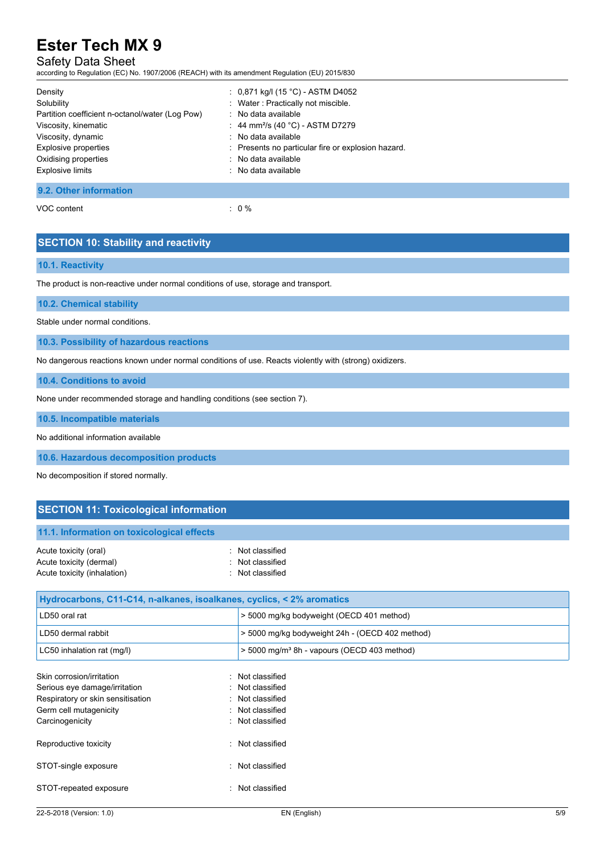# Safety Data Sheet

according to Regulation (EC) No. 1907/2006 (REACH) with its amendment Regulation (EU) 2015/830

| Density                                         | : $0,871$ kg/l (15 °C) - ASTM D4052                |
|-------------------------------------------------|----------------------------------------------------|
| Solubility                                      | Water: Practically not miscible.                   |
| Partition coefficient n-octanol/water (Log Pow) | : No data available                                |
| Viscosity, kinematic                            | : 44 mm <sup>2</sup> /s (40 °C) - ASTM D7279       |
| Viscosity, dynamic                              | : No data available                                |
| Explosive properties                            | : Presents no particular fire or explosion hazard. |
| Oxidising properties                            | : No data available                                |
| <b>Explosive limits</b>                         | : No data available                                |
| 9.2. Other information                          |                                                    |

VOC content  $\qquad \qquad : \qquad 0 \%$ 

# **SECTION 10: Stability and reactivity**

#### **10.1. Reactivity**

The product is non-reactive under normal conditions of use, storage and transport.

**10.2. Chemical stability**

Stable under normal conditions.

**10.3. Possibility of hazardous reactions**

No dangerous reactions known under normal conditions of use. Reacts violently with (strong) oxidizers.

**10.4. Conditions to avoid**

None under recommended storage and handling conditions (see section 7).

**10.5. Incompatible materials**

No additional information available

**10.6. Hazardous decomposition products**

No decomposition if stored normally.

# **SECTION 11: Toxicological information**

### **11.1. Information on toxicological effects**

| Acute toxicity (oral)       | : Not classified |
|-----------------------------|------------------|
| Acute toxicity (dermal)     | : Not classified |
| Acute toxicity (inhalation) | : Not classified |

| Hydrocarbons, C11-C14, n-alkanes, isoalkanes, cyclics, < 2% aromatics                                                                        |                                                                                                  |  |
|----------------------------------------------------------------------------------------------------------------------------------------------|--------------------------------------------------------------------------------------------------|--|
| LD50 oral rat                                                                                                                                | > 5000 mg/kg bodyweight (OECD 401 method)                                                        |  |
| LD50 dermal rabbit                                                                                                                           | > 5000 mg/kg bodyweight 24h - (OECD 402 method)                                                  |  |
| LC50 inhalation rat (mg/l)                                                                                                                   | > 5000 mg/m <sup>3</sup> 8h - vapours (OECD 403 method)                                          |  |
| Skin corrosion/irritation<br>Serious eye damage/irritation<br>Respiratory or skin sensitisation<br>Germ cell mutagenicity<br>Carcinogenicity | : Not classified<br>: Not classified<br>: Not classified<br>: Not classified<br>: Not classified |  |
| Reproductive toxicity                                                                                                                        | : Not classified                                                                                 |  |
| STOT-single exposure                                                                                                                         | : Not classified                                                                                 |  |
| STOT-repeated exposure<br>۰.                                                                                                                 | Not classified                                                                                   |  |
|                                                                                                                                              |                                                                                                  |  |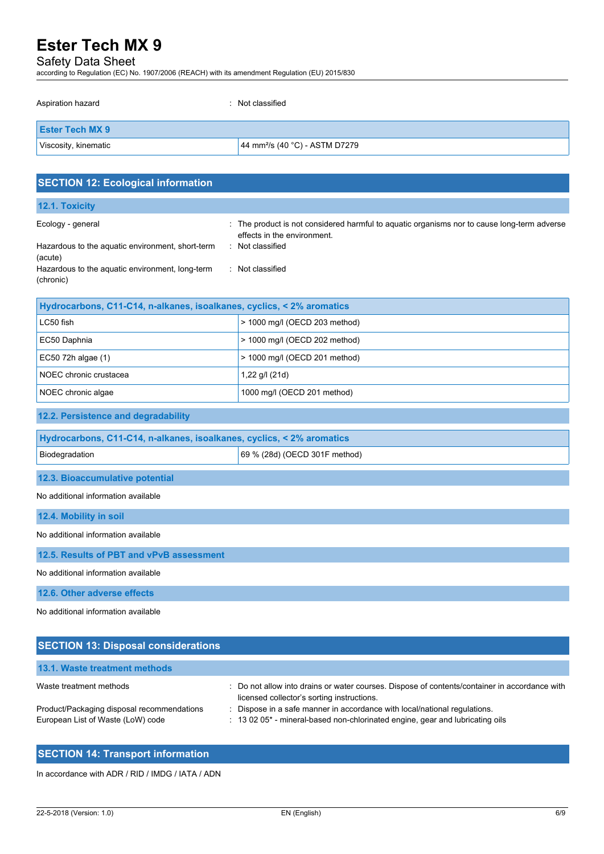# Safety Data Sheet

according to Regulation (EC) No. 1907/2006 (REACH) with its amendment Regulation (EU) 2015/830

| Aspiration hazard<br>٠                                                | Not classified                                                                                                             |
|-----------------------------------------------------------------------|----------------------------------------------------------------------------------------------------------------------------|
| <b>Ester Tech MX 9</b>                                                |                                                                                                                            |
| Viscosity, kinematic                                                  | 44 mm <sup>2</sup> /s (40 °C) - ASTM D7279                                                                                 |
|                                                                       |                                                                                                                            |
| <b>SECTION 12: Ecological information</b>                             |                                                                                                                            |
| 12.1. Toxicity                                                        |                                                                                                                            |
| Ecology - general                                                     | : The product is not considered harmful to aquatic organisms nor to cause long-term adverse<br>effects in the environment. |
| Hazardous to the aquatic environment, short-term<br>(acute)           | Not classified                                                                                                             |
| Hazardous to the aquatic environment, long-term                       | : Not classified                                                                                                           |
| (chronic)                                                             |                                                                                                                            |
| Hydrocarbons, C11-C14, n-alkanes, isoalkanes, cyclics, < 2% aromatics |                                                                                                                            |
| LC50 fish                                                             | > 1000 mg/l (OECD 203 method)                                                                                              |
| EC50 Daphnia                                                          | > 1000 mg/l (OECD 202 method)                                                                                              |
| EC50 72h algae (1)                                                    | > 1000 mg/l (OECD 201 method)                                                                                              |
| NOEC chronic crustacea                                                | 1,22 g/l (21d)                                                                                                             |
| NOEC chronic algae                                                    | 1000 mg/l (OECD 201 method)                                                                                                |
| 12.2. Persistence and degradability                                   |                                                                                                                            |
| Hydrocarbons, C11-C14, n-alkanes, isoalkanes, cyclics, < 2% aromatics |                                                                                                                            |
| Biodegradation                                                        | 69 % (28d) (OECD 301F method)                                                                                              |
| 12.3. Bioaccumulative potential                                       |                                                                                                                            |
| No additional information available                                   |                                                                                                                            |
| 12.4. Mobility in soil                                                |                                                                                                                            |
| No additional information available                                   |                                                                                                                            |
| 12.5. Results of PBT and vPvB assessment                              |                                                                                                                            |
| No additional information available                                   |                                                                                                                            |
| 12.6. Other adverse effects                                           |                                                                                                                            |
| No additional information available                                   |                                                                                                                            |
| <b>SECTION 13: Disposal considerations</b>                            |                                                                                                                            |
| 13.1. Waste treatment methods                                         |                                                                                                                            |

Waste treatment methods : Do not allow into drains or water courses. Dispose of contents/container in accordance with licensed collector's sorting instructions. Product/Packaging disposal recommendations : Dispose in a safe manner in accordance with local/national regulations.

European List of Waste (LoW) code : 13 02 05\* - mineral-based non-chlorinated engine, gear and lubricating oils

# **SECTION 14: Transport information**

In accordance with ADR / RID / IMDG / IATA / ADN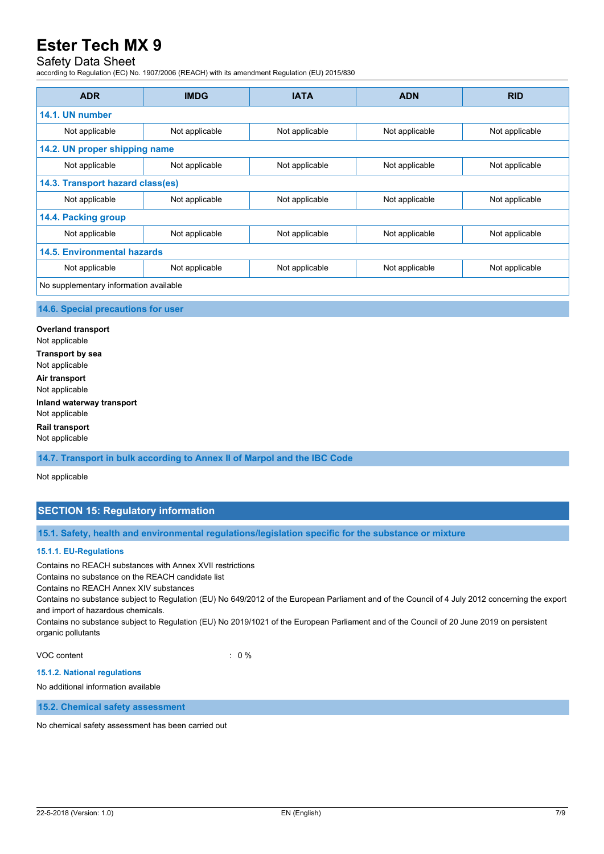# Safety Data Sheet

according to Regulation (EC) No. 1907/2006 (REACH) with its amendment Regulation (EU) 2015/830

| <b>ADR</b>                             | <b>IMDG</b>    | <b>IATA</b>    | <b>ADN</b>     | <b>RID</b>     |
|----------------------------------------|----------------|----------------|----------------|----------------|
| 14.1. UN number                        |                |                |                |                |
| Not applicable                         | Not applicable | Not applicable | Not applicable | Not applicable |
| 14.2. UN proper shipping name          |                |                |                |                |
| Not applicable                         | Not applicable | Not applicable | Not applicable | Not applicable |
| 14.3. Transport hazard class(es)       |                |                |                |                |
| Not applicable                         | Not applicable | Not applicable | Not applicable | Not applicable |
| 14.4. Packing group                    |                |                |                |                |
| Not applicable                         | Not applicable | Not applicable | Not applicable | Not applicable |
| 14.5. Environmental hazards            |                |                |                |                |
| Not applicable                         | Not applicable | Not applicable | Not applicable | Not applicable |
| No supplementary information available |                |                |                |                |

#### **14.6. Special precautions for user**

**Overland transport** Not applicable **Transport by sea** Not applicable **Air transport** Not applicable **Inland waterway transport** Not applicable **Rail transport** Not applicable

**14.7. Transport in bulk according to Annex II of Marpol and the IBC Code**

Not applicable

### **SECTION 15: Regulatory information**

**15.1. Safety, health and environmental regulations/legislation specific for the substance or mixture**

#### **15.1.1. EU-Regulations**

Contains no REACH substances with Annex XVII restrictions

Contains no substance on the REACH candidate list

Contains no REACH Annex XIV substances

Contains no substance subject to Regulation (EU) No 649/2012 of the European Parliament and of the Council of 4 July 2012 concerning the export and import of hazardous chemicals.

Contains no substance subject to Regulation (EU) No 2019/1021 of the European Parliament and of the Council of 20 June 2019 on persistent organic pollutants

VOC content : 0 %

#### **15.1.2. National regulations**

No additional information available

**15.2. Chemical safety assessment**

No chemical safety assessment has been carried out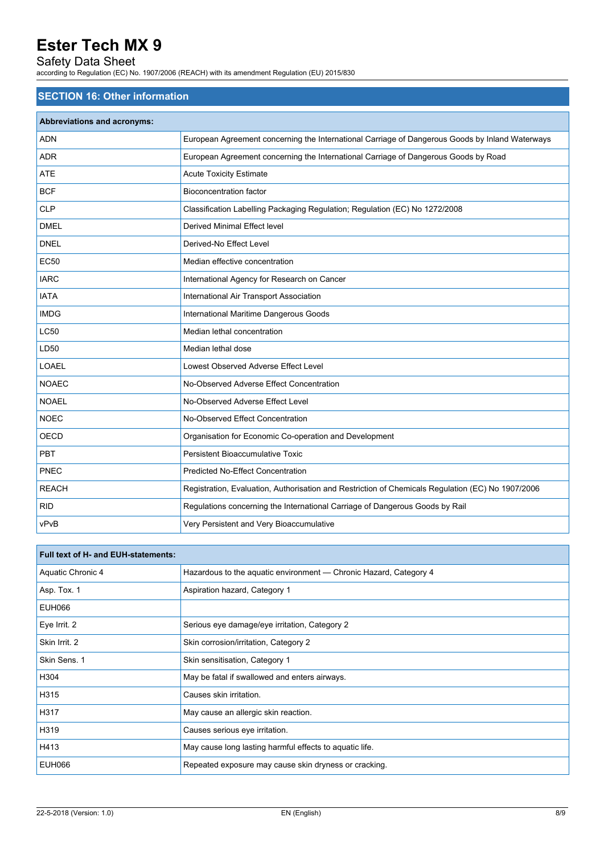# Safety Data Sheet

according to Regulation (EC) No. 1907/2006 (REACH) with its amendment Regulation (EU) 2015/830

### **SECTION 16: Other information**

| <b>Abbreviations and acronyms:</b> |                                                                                                   |
|------------------------------------|---------------------------------------------------------------------------------------------------|
| <b>ADN</b>                         | European Agreement concerning the International Carriage of Dangerous Goods by Inland Waterways   |
| <b>ADR</b>                         | European Agreement concerning the International Carriage of Dangerous Goods by Road               |
| <b>ATE</b>                         | <b>Acute Toxicity Estimate</b>                                                                    |
| <b>BCF</b>                         | <b>Bioconcentration factor</b>                                                                    |
| <b>CLP</b>                         | Classification Labelling Packaging Regulation; Regulation (EC) No 1272/2008                       |
| <b>DMEL</b>                        | Derived Minimal Effect level                                                                      |
| <b>DNEL</b>                        | Derived-No Effect Level                                                                           |
| <b>EC50</b>                        | Median effective concentration                                                                    |
| <b>IARC</b>                        | International Agency for Research on Cancer                                                       |
| <b>IATA</b>                        | International Air Transport Association                                                           |
| <b>IMDG</b>                        | International Maritime Dangerous Goods                                                            |
| <b>LC50</b>                        | Median lethal concentration                                                                       |
| LD50                               | Median lethal dose                                                                                |
| <b>LOAEL</b>                       | Lowest Observed Adverse Effect Level                                                              |
| <b>NOAEC</b>                       | No-Observed Adverse Effect Concentration                                                          |
| <b>NOAEL</b>                       | No-Observed Adverse Effect Level                                                                  |
| <b>NOEC</b>                        | No-Observed Effect Concentration                                                                  |
| <b>OECD</b>                        | Organisation for Economic Co-operation and Development                                            |
| PBT                                | Persistent Bioaccumulative Toxic                                                                  |
| PNEC                               | <b>Predicted No-Effect Concentration</b>                                                          |
| <b>REACH</b>                       | Registration, Evaluation, Authorisation and Restriction of Chemicals Regulation (EC) No 1907/2006 |
| <b>RID</b>                         | Regulations concerning the International Carriage of Dangerous Goods by Rail                      |
| vPvB                               | Very Persistent and Very Bioaccumulative                                                          |

| Full text of H- and EUH-statements: |                                                                   |
|-------------------------------------|-------------------------------------------------------------------|
| Aquatic Chronic 4                   | Hazardous to the aquatic environment — Chronic Hazard, Category 4 |
| Asp. Tox. 1                         | Aspiration hazard, Category 1                                     |
| EUH066                              |                                                                   |
| Eye Irrit. 2                        | Serious eye damage/eye irritation, Category 2                     |
| Skin Irrit. 2                       | Skin corrosion/irritation, Category 2                             |
| Skin Sens. 1                        | Skin sensitisation, Category 1                                    |
| H304                                | May be fatal if swallowed and enters airways.                     |
| H315                                | Causes skin irritation.                                           |
| H317                                | May cause an allergic skin reaction.                              |
| H319                                | Causes serious eye irritation.                                    |
| H413                                | May cause long lasting harmful effects to aquatic life.           |
| <b>EUH066</b>                       | Repeated exposure may cause skin dryness or cracking.             |